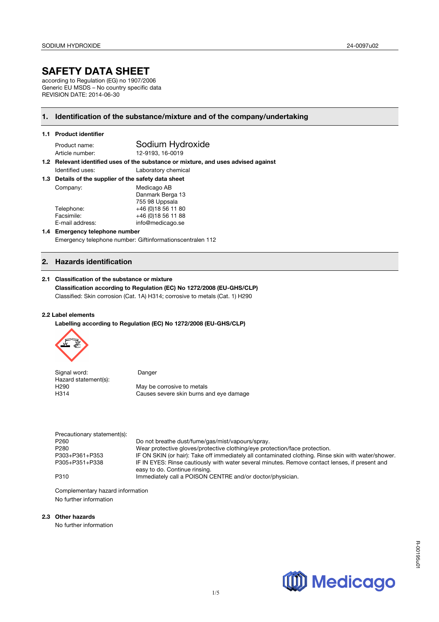# **SAFETY DATA SHEET**

according to Regulation (EG) no 1907/2006 Generic EU MSDS – No country specific data REVISION DATE: 2014-06-30

## **1. Identification of the substance/mixture and of the company/undertaking**

|  |  | 1.1 Product identifier |
|--|--|------------------------|
|--|--|------------------------|

Product name: Sodium Hydroxide Article number: 12-9193, 16-0019

**1.2 Relevant identified uses of the substance or mixture, and uses advised against**  Identified uses: Laboratory chemical

**1.3 Details of the supplier of the safety data sheet**

| Company:        | Medicago AB         |  |
|-----------------|---------------------|--|
|                 | Danmark Berga 13    |  |
|                 | 755 98 Uppsala      |  |
| Telephone:      | +46 (0) 18 56 11 80 |  |
| Facsimile:      | +46 (0) 18 56 11 88 |  |
| E-mail address: | info@medicago.se    |  |

#### **1.4 Emergency telephone number**  Emergency telephone number: Giftinformationscentralen 112

## **2. Hazards identification**

#### **2.1 Classification of the substance or mixture**

**Classification according to Regulation (EC) No 1272/2008 (EU-GHS/CLP)** Classified: Skin corrosion (Cat. 1A) H314; corrosive to metals (Cat. 1) H290

#### **2.2 Label elements**

**Labelling according to Regulation (EC) No 1272/2008 (EU-GHS/CLP)**



| Signal word:         | Danger                                  |
|----------------------|-----------------------------------------|
| Hazard statement(s): |                                         |
| H290                 | May be corrosive to metals              |
| H314                 | Causes severe skin burns and eye damage |

| Precautionary statement(s): |                                                                                                     |
|-----------------------------|-----------------------------------------------------------------------------------------------------|
| P <sub>260</sub>            | Do not breathe dust/fume/gas/mist/vapours/spray.                                                    |
| P <sub>280</sub>            | Wear protective gloves/protective clothing/eye protection/face protection.                          |
| P303+P361+P353              | IF ON SKIN (or hair): Take off immediately all contaminated clothing. Rinse skin with water/shower. |
| P305+P351+P338              | IF IN EYES: Rinse cautiously with water several minutes. Remove contact lenses, if present and      |
|                             | easy to do. Continue rinsing.                                                                       |
| P310                        | Immediately call a POISON CENTRE and/or doctor/physician.                                           |

Complementary hazard information No further information

## **2.3 Other hazards**

No further information

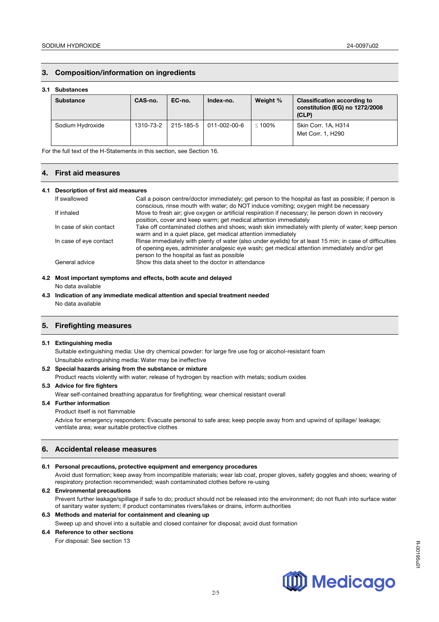## **3. Composition/information on ingredients**

#### **3.1 Substances**

| <b>Substance</b> | CAS-no.   | EC-no.    | Index-no.    | Weight %     | <b>Classification according to</b><br>constitution (EG) no 1272/2008<br>(CLP) |
|------------------|-----------|-----------|--------------|--------------|-------------------------------------------------------------------------------|
| Sodium Hydroxide | 1310-73-2 | 215-185-5 | 011-002-00-6 | $\leq 100\%$ | Skin Corr. 1A, H314<br>Met Corr. 1, H290                                      |

For the full text of the H-Statements in this section, see Section 16.

#### **4. First aid measures**

#### **4.1 Description of first aid measures**

| If swallowed            | Call a poison centre/doctor immediately; get person to the hospital as fast as possible; if person is<br>conscious, rinse mouth with water; do NOT induce vomiting; oxygen might be necessary                                                          |
|-------------------------|--------------------------------------------------------------------------------------------------------------------------------------------------------------------------------------------------------------------------------------------------------|
| If inhaled              | Move to fresh air; give oxygen or artificial respiration if necessary; lie person down in recovery<br>position, cover and keep warm; get medical attention immediately                                                                                 |
| In case of skin contact | Take off contaminated clothes and shoes; wash skin immediately with plenty of water; keep person<br>warm and in a quiet place, get medical attention immediately                                                                                       |
| In case of eye contact  | Rinse immediately with plenty of water (also under eyelids) for at least 15 min; in case of difficulties<br>of opening eyes, administer analgesic eye wash; get medical attention immediately and/or get<br>person to the hospital as fast as possible |
| General advice          | Show this data sheet to the doctor in attendance                                                                                                                                                                                                       |

#### **4.2 Most important symptoms and effects, both acute and delayed**

No data available

**4.3 Indication of any immediate medical attention and special treatment needed** No data available

## **5. Firefighting measures**

#### **5.1 Extinguishing media**

Suitable extinguishing media: Use dry chemical powder: for large fire use fog or alcohol-resistant foam Unsuitable extinguishing media: Water may be ineffective

#### **5.2 Special hazards arising from the substance or mixture**

Product reacts violently with water; release of hydrogen by reaction with metals; sodium oxides

#### **5.3 Advice for fire fighters**

Wear self-contained breathing apparatus for firefighting; wear chemical resistant overall

#### **5.4 Further information**

#### Product itself is not flammable

Advice for emergency responders: Evacuate personal to safe area; keep people away from and upwind of spillage/ leakage; ventilate area; wear suitable protective clothes

## **6. Accidental release measures**

## **6.1 Personal precautions, protective equipment and emergency procedures**

Avoid dust formation; keep away from incompatible materials; wear lab coat, proper gloves, safety goggles and shoes; wearing of respiratory protection recommended; wash contaminated clothes before re-using

## **6.2 Environmental precautions**

Prevent further leakage/spillage if safe to do; product should not be released into the environment; do not flush into surface water of sanitary water system; if product contaminates rivers/lakes or drains, inform authorities

## **6.3 Methods and material for containment and cleaning up**

Sweep up and shovel into a suitable and closed container for disposal; avoid dust formation

## **6.4 Reference to other sections**

For disposal: See section 13



R-00195u01

R-00195u0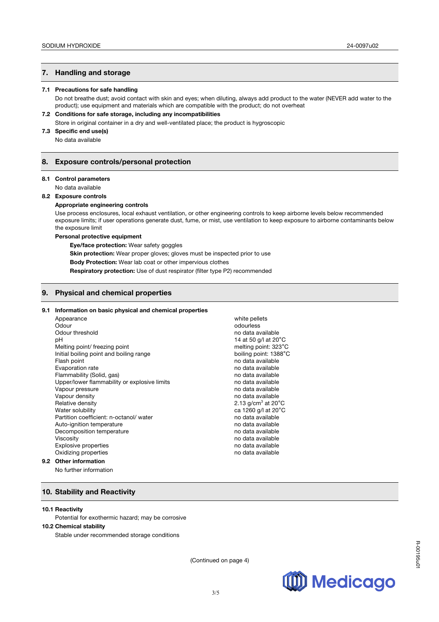## **7. Handling and storage**

#### **7.1 Precautions for safe handling**

Do not breathe dust; avoid contact with skin and eyes; when diluting, always add product to the water (NEVER add water to the product); use equipment and materials which are compatible with the product; do not overheat

#### **7.2 Conditions for safe storage, including any incompatibilities**

Store in original container in a dry and well-ventilated place; the product is hygroscopic

## **7.3 Specific end use(s)**

No data available

### **8. Exposure controls/personal protection**

#### **8.1 Control parameters**

No data available

#### **8.2 Exposure controls**

**Appropriate engineering controls**

Use process enclosures, local exhaust ventilation, or other engineering controls to keep airborne levels below recommended exposure limits; if user operations generate dust, fume, or mist, use ventilation to keep exposure to airborne contaminants below the exposure limit

#### **Personal protective equipment**

**Eye/face protection:** Wear safety goggles

**Skin protection:** Wear proper gloves; gloves must be inspected prior to use

**Body Protection:** Wear lab coat or other impervious clothes

**Respiratory protection:** Use of dust respirator (filter type P2) recommended

### **9. Physical and chemical properties**

#### **9.1 Information on basic physical and chemical properties**

|     | Appearance                                   | white pellets                   |
|-----|----------------------------------------------|---------------------------------|
|     | Odour                                        | odourless                       |
|     | Odour threshold                              | no data available               |
|     | рH                                           | 14 at 50 g/l at $20^{\circ}$ C  |
|     | Melting point/ freezing point                | melting point: 323°C            |
|     | Initial boiling point and boiling range      | boiling point: 1388°C           |
|     | Flash point                                  | no data available               |
|     | Evaporation rate                             | no data available               |
|     | Flammability (Solid, gas)                    | no data available               |
|     | Upper/lower flammability or explosive limits | no data available               |
|     | Vapour pressure                              | no data available               |
|     | Vapour density                               | no data available               |
|     | Relative density                             | 2.13 $g/cm3$ at 20 $^{\circ}$ C |
|     | Water solubility                             | ca 1260 g/l at 20°C             |
|     | Partition coefficient: n-octanol/water       | no data available               |
|     | Auto-ignition temperature                    | no data available               |
|     | Decomposition temperature                    | no data available               |
|     | <b>Viscosity</b>                             | no data available               |
|     | <b>Explosive properties</b>                  | no data available               |
|     | Oxidizing properties                         | no data available               |
| 9.2 | <b>Other information</b>                     |                                 |
|     |                                              |                                 |

#### No further information

## **10. Stability and Reactivity**

#### **10.1 Reactivity**

Potential for exothermic hazard; may be corrosive

#### **10.2 Chemical stability**

Stable under recommended storage conditions

(Continued on page 4)

3/5

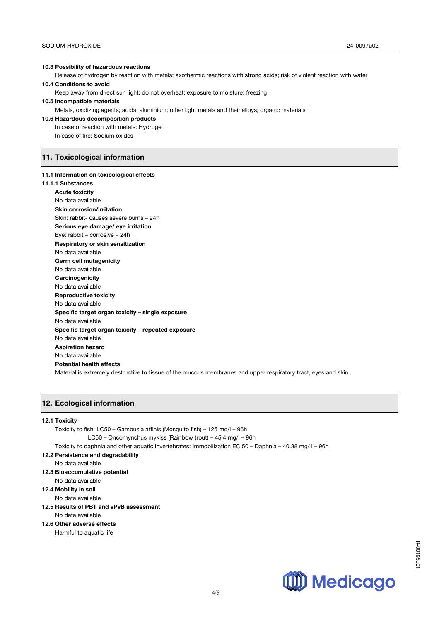#### **10.3 Possibility of hazardous reactions**

Release of hydrogen by reaction with metals; exothermic reactions with strong acids; risk of violent reaction with water **10.4 Conditions to avoid** 

Keep away from direct sun light; do not overheat; exposure to moisture; freezing

## **10.5 Incompatible materials**

Metals, oxidizing agents; acids, aluminium; other light metals and their alloys; organic materials

## **10.6 Hazardous decomposition products**

In case of reaction with metals: Hydrogen

In case of fire: Sodium oxides

## **11. Toxicological information**

#### **11.1 Information on toxicological effects**

#### **11.1.1 Substances**

**Acute toxicity** No data available **Skin corrosion/irritation** Skin: rabbit- causes severe burns – 24h **Serious eye damage/ eye irritation** Eye: rabbit – corrosive – 24h **Respiratory or skin sensitization** No data available **Germ cell mutagenicity** No data available **Carcinogenicity** No data available **Reproductive toxicity** No data available **Specific target organ toxicity – single exposure** No data available **Specific target organ toxicity – repeated exposure** No data available **Aspiration hazard** No data available **Potential health effects**  Material is extremely destructive to tissue of the mucous membranes and upper respiratory tract, eyes and skin.

## **12. Ecological information**

#### **12.1 Toxicity**

| Toxicity to fish: LC50 – Gambusia affinis (Mosquito fish) – 125 mg/l – 96h                             |  |
|--------------------------------------------------------------------------------------------------------|--|
| LC50 – Oncorhynchus mykiss (Rainbow trout) – 45.4 mg/l – 96h                                           |  |
| Toxicity to daphnia and other aquatic invertebrates: Immobilization EC 50 – Daphnia – 40.38 mg/l – 96h |  |
| 12.2 Persistence and degradability                                                                     |  |
| No data available                                                                                      |  |
| 12.3 Bioaccumulative potential                                                                         |  |
| No data available                                                                                      |  |
| 12.4 Mobility in soil                                                                                  |  |
| No data available                                                                                      |  |
|                                                                                                        |  |

## **12.5 Results of PBT and vPvB assessment**

## No data available

## **12.6 Other adverse effects**

Harmful to aquatic life